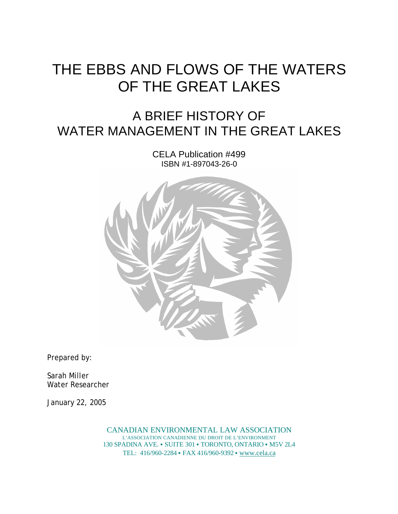# THE EBBS AND FLOWS OF THE WATERS OF THE GREAT LAKES

## A BRIEF HISTORY OF WATER MANAGEMENT IN THE GREAT LAKES

CELA Publication #499 ISBN #1-897043-26-0



Prepared by:

Sarah Miller Water Researcher

January 22, 2005

CANADIAN ENVIRONMENTAL LAW ASSOCIATION L'ASSOCIATION CANADIENNE DU DROIT DE L'ENVIRONMENT 130 SPADINA AVE. • SUITE 301 • TORONTO, ONTARIO • M5V 2L4 TEL: 416/960-2284 • FAX 416/960-9392 • www.cela.ca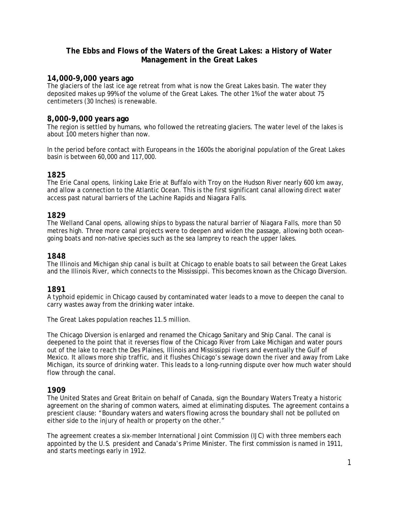## **The Ebbs and Flows of the Waters of the Great Lakes: a History of Water Management in the Great Lakes**

## **14,000-9,000 years ago**

The glaciers of the last ice age retreat from what is now the Great Lakes basin. The water they deposited makes up 99% of the volume of the Great Lakes. The other 1% of the water about 75 centimeters (30 Inches) is renewable.

## **8,000-9,000 years ago**

The region is settled by humans, who followed the retreating glaciers. The water level of the lakes is about 100 meters higher than now.

In the period before contact with Europeans in the 1600s the aboriginal population of the Great Lakes basin is between 60,000 and 117,000.

## **1825**

The Erie Canal opens, linking Lake Erie at Buffalo with Troy on the Hudson River nearly 600 km away, and allow a connection to the Atlantic Ocean. This is the first significant canal allowing direct water access past natural barriers of the Lachine Rapids and Niagara Falls.

## **1829**

The Welland Canal opens, allowing ships to bypass the natural barrier of Niagara Falls, more than 50 metres high. Three more canal projects were to deepen and widen the passage, allowing both oceangoing boats and non-native species such as the sea lamprey to reach the upper lakes.

## **1848**

The Illinois and Michigan ship canal is built at Chicago to enable boats to sail between the Great Lakes and the Illinois River, which connects to the Mississippi. This becomes known as the Chicago Diversion.

## **1891**

A typhoid epidemic in Chicago caused by contaminated water leads to a move to deepen the canal to carry wastes away from the drinking water intake.

The Great Lakes population reaches 11.5 million.

The Chicago Diversion is enlarged and renamed the Chicago Sanitary and Ship Canal. The canal is deepened to the point that it reverses flow of the Chicago River from Lake Michigan and water pours out of the lake to reach the Des Plaines, Illinois and Mississippi rivers and eventually the Gulf of Mexico. It allows more ship traffic, and it flushes Chicago's sewage down the river and away from Lake Michigan, its source of drinking water. This leads to a long-running dispute over how much water should flow through the canal.

## **1909**

The United States and Great Britain on behalf of Canada, sign the *Boundary Waters Treaty* a historic agreement on the sharing of common waters, aimed at eliminating disputes. The agreement contains a prescient clause: "Boundary waters and waters flowing across the boundary shall not be polluted on either side to the injury of health or property on the other."

The agreement creates a six-member International Joint Commission (IJC) with three members each appointed by the U.S. president and Canada's Prime Minister. The first commission is named in 1911, and starts meetings early in 1912.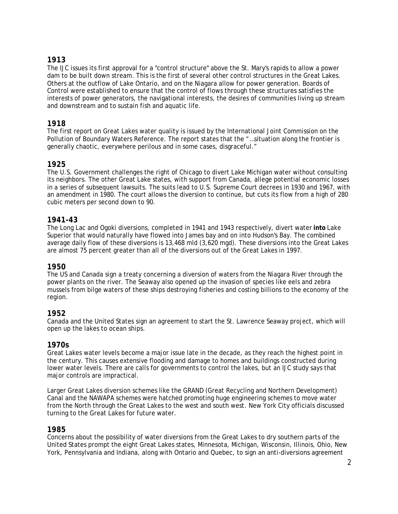## **1913**

The IJC issues its first approval for a "control structure" above the St. Mary's rapids to allow a power dam to be built down stream. This is the first of several other control structures in the Great Lakes. Others at the outflow of Lake Ontario, and on the Niagara allow for power generation. Boards of Control were established to ensure that the control of flows through these structures satisfies the interests of power generators, the navigational interests, the desires of communities living up stream and downstream and to sustain fish and aquatic life.

## **1918**

The first report on Great Lakes water quality is issued by the International Joint Commission on the Pollution of Boundary Waters Reference. The report states that the "…situation along the frontier is generally chaotic, everywhere perilous and in some cases, disgraceful."

## **1925**

The U.S. Government challenges the right of Chicago to divert Lake Michigan water without consulting its neighbors. The other Great Lake states, with support from Canada, allege potential economic losses in a series of subsequent lawsuits. The suits lead to U.S. Supreme Court decrees in 1930 and 1967, with an amendment in 1980. The court allows the diversion to continue, but cuts its flow from a high of 280 cubic meters per second down to 90.

## **1941-43**

The Long Lac and Ogoki diversions, completed in 1941 and 1943 respectively, divert water **into** Lake Superior that would naturally have flowed into James bay and on into Hudson's Bay. The combined average daily flow of these diversions is 13,468 mld (3,620 mgd). These diversions into the Great Lakes are almost 75 percent greater than all of the diversions out of the Great Lakes in 1997.

#### **1950**

The US and Canada sign a treaty concerning a diversion of waters from the Niagara River through the power plants on the river. The Seaway also opened up the invasion of species like eels and zebra mussels from bilge waters of these ships destroying fisheries and costing billions to the economy of the region.

## **1952**

Canada and the United States sign an agreement to start the St. Lawrence Seaway project, which will open up the lakes to ocean ships.

## **1970s**

Great Lakes water levels become a major issue late in the decade, as they reach the highest point in the century. This causes extensive flooding and damage to homes and buildings constructed during lower water levels. There are calls for governments to control the lakes, but an IJC study says that major controls are impractical.

Larger Great Lakes diversion schemes like the GRAND (Great Recycling and Northern Development) Canal and the NAWAPA schemes were hatched promoting huge engineering schemes to move water from the North through the Great Lakes to the west and south west. New York City officials discussed turning to the Great Lakes for future water.

#### **1985**

Concerns about the possibility of water diversions from the Great Lakes to dry southern parts of the United States prompt the eight Great Lakes states, Minnesota, Michigan, Wisconsin, Illinois, Ohio, New York, Pennsylvania and Indiana, along with Ontario and Quebec, to sign an anti-diversions agreement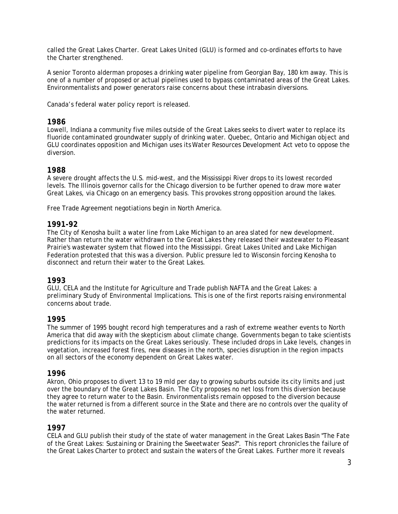called the Great Lakes Charter. Great Lakes United (GLU) is formed and co-ordinates efforts to have the Charter strengthened.

A senior Toronto alderman proposes a drinking water pipeline from Georgian Bay, 180 km away. This is one of a number of proposed or actual pipelines used to bypass contaminated areas of the Great Lakes. Environmentalists and power generators raise concerns about these intrabasin diversions.

Canada's federal water policy report is released.

#### **1986**

Lowell, Indiana a community five miles outside of the Great Lakes seeks to divert water to replace its fluoride contaminated groundwater supply of drinking water. Quebec, Ontario and Michigan object and GLU coordinates opposition and Michigan uses its *Water Resources Development Act* veto to oppose the diversion.

#### **1988**

A severe drought affects the U.S. mid-west, and the Mississippi River drops to its lowest recorded levels. The Illinois governor calls for the Chicago diversion to be further opened to draw more water Great Lakes, via Chicago on an emergency basis. This provokes strong opposition around the lakes.

Free Trade Agreement negotiations begin in North America.

#### **1991-92**

The City of Kenosha built a water line from Lake Michigan to an area slated for new development. Rather than return the water withdrawn to the Great Lakes they released their wastewater to Pleasant Prairie's wastewater system that flowed into the Mississippi. Great Lakes United and Lake Michigan Federation protested that this was a diversion. Public pressure led to Wisconsin forcing Kenosha to disconnect and return their water to the Great Lakes.

#### **1993**

GLU, CELA and the Institute for Agriculture and Trade publish *NAFTA and the Great Lakes: a preliminary Study of Environmental Implications.* This is one of the first reports raising environmental concerns about trade.

#### **1995**

The summer of 1995 bought record high temperatures and a rash of extreme weather events to North America that did away with the skepticism about climate change. Governments began to take scientists predictions for its impacts on the Great Lakes seriously. These included drops in Lake levels, changes in vegetation, increased forest fires, new diseases in the north, species disruption in the region impacts on all sectors of the economy dependent on Great Lakes water.

#### **1996**

Akron, Ohio proposes to divert 13 to 19 mld per day to growing suburbs outside its city limits and just over the boundary of the Great Lakes Basin. The City proposes no net loss from this diversion because they agree to return water to the Basin. Environmentalists remain opposed to the diversion because the water returned is from a different source in the State and there are no controls over the quality of the water returned.

#### **1997**

CELA and GLU publish their study of the state of water management in the Great Lakes Basin *"The* Fate *of the Great Lakes: Sustaining or Draining the Sweetwater Seas?".* This report chronicles the failure of the Great Lakes Charter to protect and sustain the waters of the Great Lakes. Further more it reveals